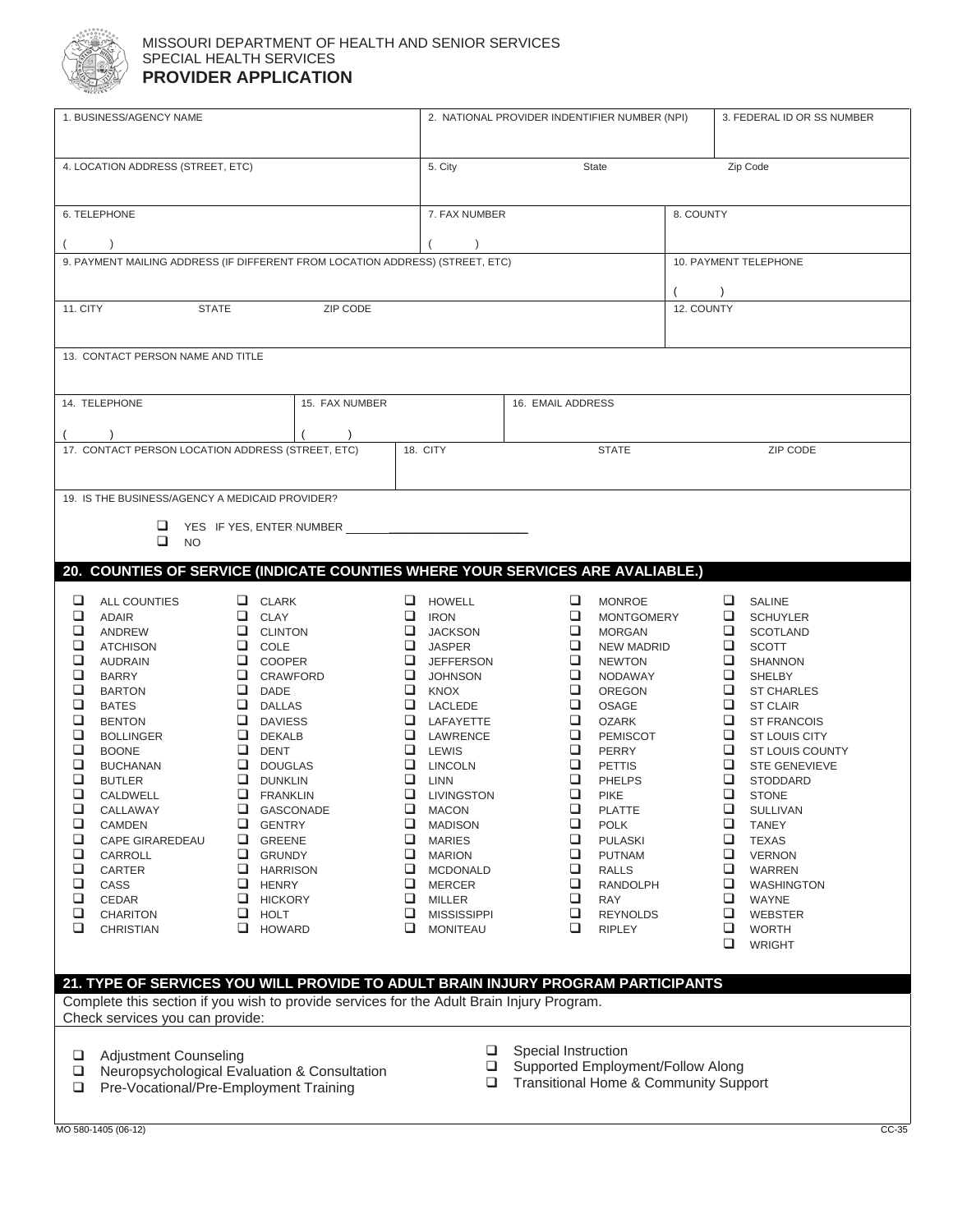

## MISSOURI DEPARTMENT OF HEALTH AND SENIOR SERVICES SPECIAL HEALTH SERVICES **PROVIDER APPLICATION**

| 1. BUSINESS/AGENCY NAME                                                                |                                              | 2. NATIONAL PROVIDER INDENTIFIER NUMBER (NPI) | 3. FEDERAL ID OR SS NUMBER                |
|----------------------------------------------------------------------------------------|----------------------------------------------|-----------------------------------------------|-------------------------------------------|
|                                                                                        |                                              |                                               |                                           |
| 4. LOCATION ADDRESS (STREET, ETC)                                                      | 5. City                                      | State                                         | Zip Code                                  |
|                                                                                        |                                              |                                               |                                           |
| 6. TELEPHONE                                                                           | 7. FAX NUMBER                                | 8. COUNTY                                     |                                           |
|                                                                                        |                                              |                                               |                                           |
|                                                                                        |                                              |                                               |                                           |
| 9. PAYMENT MAILING ADDRESS (IF DIFFERENT FROM LOCATION ADDRESS) (STREET, ETC)          |                                              |                                               | 10. PAYMENT TELEPHONE                     |
|                                                                                        |                                              |                                               |                                           |
| <b>STATE</b><br>11. CITY                                                               | ZIP CODE                                     | 12. COUNTY                                    |                                           |
|                                                                                        |                                              |                                               |                                           |
| 13. CONTACT PERSON NAME AND TITLE                                                      |                                              |                                               |                                           |
|                                                                                        |                                              |                                               |                                           |
| 14. TELEPHONE                                                                          | 15. FAX NUMBER                               | 16. EMAIL ADDRESS                             |                                           |
|                                                                                        |                                              |                                               |                                           |
|                                                                                        |                                              | <b>STATE</b>                                  | ZIP CODE                                  |
| 17. CONTACT PERSON LOCATION ADDRESS (STREET, ETC)                                      | 18. CITY                                     |                                               |                                           |
|                                                                                        |                                              |                                               |                                           |
| 19. IS THE BUSINESS/AGENCY A MEDICAID PROVIDER?                                        |                                              |                                               |                                           |
| YES IF YES, ENTER NUMBER                                                               |                                              |                                               |                                           |
| $\Box$ NO                                                                              |                                              |                                               |                                           |
| 20. COUNTIES OF SERVICE (INDICATE COUNTIES WHERE YOUR SERVICES ARE AVALIABLE.)         |                                              |                                               |                                           |
|                                                                                        |                                              |                                               |                                           |
| $\Box$<br>$\Box$ CLARK<br><b>ALL COUNTIES</b><br>$\Box$<br>$\Box$ CLAY<br><b>ADAIR</b> | $\Box$ HOWELL<br>$\Box$ IRON                 | $\Box$<br><b>MONROE</b><br><b>MONTGOMERY</b>  | $\Box$ SALINE<br>SCHUYLER                 |
| $\Box$<br>$\Box$ CLINTON<br>ANDREW                                                     | $\Box$ JACKSON                               | $\Box$<br><b>MORGAN</b>                       | $\Box$ SCOTLAND                           |
| $\Box$<br>$\Box$ COLE<br><b>ATCHISON</b>                                               | $\Box$ JASPER                                | $\Box$<br><b>NEW MADRID</b>                   | $\Box$<br><b>SCOTT</b>                    |
| $\Box$<br>$\Box$ COOPER<br>AUDRAIN                                                     | $\Box$ JEFFERSON                             | $\Box$<br><b>NEWTON</b>                       | $\Box$<br>SHANNON                         |
| $\Box$<br>$\Box$ CRAWFORD<br><b>BARRY</b><br>$\Box$                                    | $\Box$ JOHNSON                               | $\Box$<br>NODAWAY<br>□                        | $\Box$ SHELBY                             |
| $\Box$ DADE<br><b>BARTON</b><br>$\Box$<br>$\Box$ DALLAS<br><b>BATES</b>                | $\Box$ KNOX<br>LACLEDE                       | OREGON<br>$\Box$<br>OSAGE                     | $\Box$ ST CHARLES<br>$\Box$ ST CLAIR      |
| $\Box$<br><b>Q</b> DAVIESS<br><b>BENTON</b>                                            | $\Box$ LAFAYETTE                             | $\Box$<br><b>OZARK</b>                        | $\Box$ ST FRANCOIS                        |
| $\Box$<br>$\Box$ DEKALB<br><b>BOLLINGER</b>                                            | <b>LAWRENCE</b>                              | $\Box$<br>PEMISCOT                            | $\Box$ ST LOUIS CITY                      |
| $\Box$<br>$\Box$ DENT<br><b>BOONE</b>                                                  | <b>Q</b> LEWIS                               | $\Box$ PERRY                                  | $\Box$ ST LOUIS COUNTY                    |
| $\Box$<br>$\Box$ DOUGLAS<br><b>BUCHANAN</b>                                            | $\Box$ LINCOLN                               | $\Box$<br><b>PETTIS</b>                       | $\Box$ STE GENEVIEVE                      |
| $\Box$<br>$\Box$ DUNKLIN<br><b>BUTLER</b>                                              | $\Box$ $\Box$                                | $\Box$ PHELPS                                 | $\Box$ STODDARD                           |
| $\Box$<br>CALDWELL<br>$\Box$ FRANKLIN<br>$\Box$                                        | $\Box$ LIVINGSTON                            | $\Box$<br><b>PIKE</b>                         | $\Box$ STONE                              |
| GASCONADE<br>CALLAWAY<br>$\Box$<br>GENTRY<br><b>CAMDEN</b>                             | $\qquad \qquad \Box$ MACON<br>$\Box$ MADISON | $\Box$<br><b>PLATTE</b><br>❏<br><b>POLK</b>   | $\Box$ SULLIVAN<br>$\Box$<br><b>TANEY</b> |
| ❏<br><b>CAPE GIRAREDEAU</b><br>GREENE                                                  |                                              |                                               |                                           |
| $\Box$<br>CARROLL<br>GRUNDY                                                            |                                              |                                               |                                           |
|                                                                                        | $\Box$ MARIES                                | □<br><b>PULASKI</b><br>$\Box$                 | $\Box$<br><b>TEXAS</b>                    |
| $\Box$<br>$\Box$ HARRISON<br>CARTER                                                    | $\Box$ MARION<br>$\Box$ MCDONALD             | PUTNAM<br>□<br><b>RALLS</b>                   | □<br><b>VERNON</b><br>□<br><b>WARREN</b>  |
| Q<br>CASS<br>$\Box$ HENRY                                                              | $\Box$ MERCER                                | □<br><b>RANDOLPH</b>                          | □<br>WASHINGTON                           |
| $\Box$<br>$\Box$<br>CEDAR<br><b>HICKORY</b>                                            | $\Box$ MILLER                                | $\Box$<br>RAY                                 | WAYNE                                     |
| $\Box$<br>CHARITON<br>$\Box$ HOLT                                                      | □<br><b>MISSISSIPPI</b>                      | □<br><b>REYNOLDS</b>                          | O.<br><b>WEBSTER</b>                      |
| $\Box$<br>$\Box$ HOWARD<br><b>CHRISTIAN</b>                                            | Q.<br><b>MONITEAU</b>                        | □<br><b>RIPLEY</b>                            | □<br><b>WORTH</b>                         |
|                                                                                        |                                              |                                               | ❏<br><b>WRIGHT</b>                        |
| 21. TYPE OF SERVICES YOU WILL PROVIDE TO ADULT BRAIN INJURY PROGRAM PARTICIPANTS       |                                              |                                               |                                           |

□ Adjustment Counseling<br>□ Neuropsychological Eva

Check services you can provide:

- □ Neuropsychological Evaluation & Consultation
- □ Pre-Vocational/Pre-Employment Training
- □ Special Instruction
- □ Supported Employment/Follow Along
- □ Transitional Home & Community Support